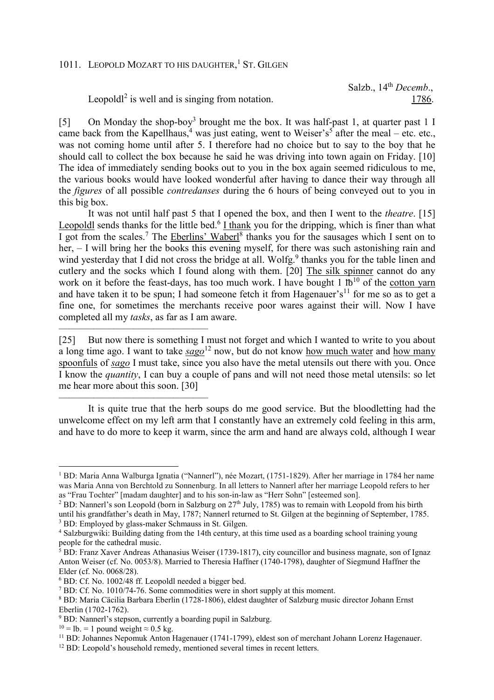## 1011. LEOPOLD MOZART TO HIS DAUGHTER,<sup>1</sup> ST. GILGEN

Leopold $l^2$  is well and is singing from notation.  $1786$ .

Salzb., 14<sup>th</sup> *Decemb.*,

[5] On Monday the shop-boy<sup>3</sup> brought me the box. It was half-past 1, at quarter past 1 I came back from the Kapellhaus,<sup>4</sup> was just eating, went to Weiser's<sup>5</sup> after the meal – etc. etc., was not coming home until after 5. I therefore had no choice but to say to the boy that he should call to collect the box because he said he was driving into town again on Friday. [10] The idea of immediately sending books out to you in the box again seemed ridiculous to me, the various books would have looked wonderful after having to dance their way through all the *figures* of all possible *contredanses* during the 6 hours of being conveyed out to you in this big box.

It was not until half past 5 that I opened the box, and then I went to the *theatre*. [15] Leopoldl sends thanks for the little bed.<sup>6</sup> I thank you for the dripping, which is finer than what I got from the scales.<sup>7</sup> The Eberlins' Waberl<sup>8</sup> thanks you for the sausages which I sent on to her, – I will bring her the books this evening myself, for there was such astonishing rain and wind yesterday that I did not cross the bridge at all. Wolfg.<sup>9</sup> thanks you for the table linen and cutlery and the socks which I found along with them. [20] The silk spinner cannot do any work on it before the feast-days, has too much work. I have bought  $1 \text{ lb}^{10}$  of the cotton yarn and have taken it to be spun; I had someone fetch it from Hagenauer's<sup>11</sup> for me so as to get a fine one, for sometimes the merchants receive poor wares against their will. Now I have completed all my *tasks*, as far as I am aware.

[25] But now there is something I must not forget and which I wanted to write to you about a long time ago. I want to take *sago*<sup>12</sup> now, but do not know how much water and how many spoonfuls of *sago* I must take, since you also have the metal utensils out there with you. Once I know the *quantity*, I can buy a couple of pans and will not need those metal utensils: so let me hear more about this soon. [30]

It is quite true that the herb soups do me good service. But the bloodletting had the unwelcome effect on my left arm that I constantly have an extremely cold feeling in this arm, and have to do more to keep it warm, since the arm and hand are always cold, although I wear

––––––––––––––––––––––––––––––

––––––––––––––––––––––––––––––

 $\overline{a}$ 

<sup>1</sup> BD: Maria Anna Walburga Ignatia ("Nannerl"), née Mozart, (1751-1829). After her marriage in 1784 her name was Maria Anna von Berchtold zu Sonnenburg. In all letters to Nannerl after her marriage Leopold refers to her as "Frau Tochter" [madam daughter] and to his son-in-law as "Herr Sohn" [esteemed son].

<sup>&</sup>lt;sup>2</sup> BD: Nannerl's son Leopold (born in Salzburg on 27<sup>th</sup> July, 1785) was to remain with Leopold from his birth until his grandfather's death in May, 1787; Nannerl returned to St. Gilgen at the beginning of September, 1785. <sup>3</sup> BD: Employed by glass-maker Schmauss in St. Gilgen.

<sup>4</sup> Salzburgwiki: Building dating from the 14th century, at this time used as a boarding school training young people for the cathedral music.

<sup>&</sup>lt;sup>5</sup> BD: Franz Xaver Andreas Athanasius Weiser (1739-1817), city councillor and business magnate, son of Ignaz Anton Weiser (cf. No. 0053/8). Married to Theresia Haffner (1740-1798), daughter of Siegmund Haffner the Elder (cf. No. 0068/28).

<sup>6</sup> BD: Cf. No. 1002/48 ff. Leopoldl needed a bigger bed.

<sup>&</sup>lt;sup>7</sup> BD: Cf. No. 1010/74-76. Some commodities were in short supply at this moment.

<sup>8</sup> BD: Maria Cäcilia Barbara Eberlin (1728-1806), eldest daughter of Salzburg music director Johann Ernst Eberlin (1702-1762).

<sup>9</sup> BD: Nannerl's stepson, currently a boarding pupil in Salzburg.

 $10 =$  lb. = 1 pound weight  $\approx 0.5$  kg.

<sup>&</sup>lt;sup>11</sup> BD: Johannes Nepomuk Anton Hagenauer (1741-1799), eldest son of merchant Johann Lorenz Hagenauer.

<sup>&</sup>lt;sup>12</sup> BD: Leopold's household remedy, mentioned several times in recent letters.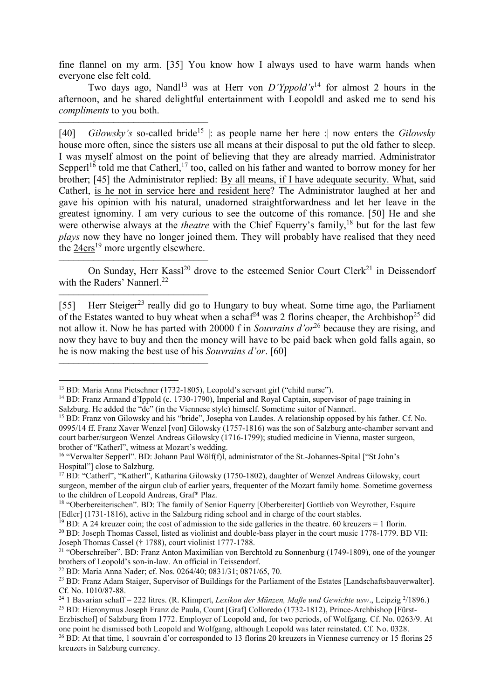fine flannel on my arm. [35] You know how I always used to have warm hands when everyone else felt cold.

Two days ago, Nandl<sup>13</sup> was at Herr von  $D'Yppold's<sup>14</sup>$  for almost 2 hours in the afternoon, and he shared delightful entertainment with Leopoldl and asked me to send his *compliments* to you both.

–––––––––––––––––––––––––––––– [40] *Gilowsky's* so-called bride<sup>15</sup> |: as people name her here :| now enters the *Gilowsky* house more often, since the sisters use all means at their disposal to put the old father to sleep. I was myself almost on the point of believing that they are already married. Administrator Sepper $1^{16}$  told me that Catherl,<sup>17</sup> too, called on his father and wanted to borrow money for her brother; [45] the Administrator replied: By all means, if I have adequate security. What, said Catherl, is he not in service here and resident here? The Administrator laughed at her and gave his opinion with his natural, unadorned straightforwardness and let her leave in the greatest ignominy. I am very curious to see the outcome of this romance. [50] He and she were otherwise always at the *theatre* with the Chief Equerry's family,<sup>18</sup> but for the last few *plays* now they have no longer joined them. They will probably have realised that they need the 24ers<sup>19</sup> more urgently elsewhere.

–––––––––––––––––––––––––––––– On Sunday, Herr Kassl<sup>20</sup> drove to the esteemed Senior Court Clerk<sup>21</sup> in Deissendorf with the Raders' Nannerl<sup>22</sup>

[55] Herr Steiger<sup>23</sup> really did go to Hungary to buy wheat. Some time ago, the Parliament of the Estates wanted to buy wheat when a schaf<sup>24</sup> was 2 florins cheaper, the Archbishop<sup>25</sup> did not allow it. Now he has parted with 20000 f in *Souvrains d'or*<sup>26</sup> because they are rising, and now they have to buy and then the money will have to be paid back when gold falls again, so he is now making the best use of his *Souvrains d'or*. [60]

––––––––––––––––––––––––––––––

––––––––––––––––––––––––––––––

l

<sup>13</sup> BD: Maria Anna Pietschner (1732-1805), Leopold's servant girl ("child nurse").

<sup>&</sup>lt;sup>14</sup> BD: Franz Armand d'Ippold (c. 1730-1790), Imperial and Royal Captain, supervisor of page training in Salzburg. He added the "de" (in the Viennese style) himself. Sometime suitor of Nannerl.

<sup>15</sup> BD: Franz von Gilowsky and his "bride", Josepha von Laudes. A relationship opposed by his father. Cf. No. 0995/14 ff. Franz Xaver Wenzel [von] Gilowsky (1757-1816) was the son of Salzburg ante-chamber servant and court barber/surgeon Wenzel Andreas Gilowsky (1716-1799); studied medicine in Vienna, master surgeon, brother of "Katherl", witness at Mozart's wedding.

<sup>&</sup>lt;sup>16</sup> "Verwalter Sepperl". BD: Johann Paul Wölf(f)l, administrator of the St.-Johannes-Spital ["St John's Hospital"] close to Salzburg.

<sup>&</sup>lt;sup>17</sup> BD: "Catherl", "Katherl", Katharina Gilowsky (1750-1802), daughter of Wenzel Andreas Gilowsky, court surgeon, member of the airgun club of earlier years, frequenter of the Mozart family home. Sometime governess to the children of Leopold Andreas, Graf\* Plaz.

<sup>18</sup> "Oberbereiterischen". BD: The family of Senior Equerry [Oberbereiter] Gottlieb von Weyrother, Esquire [Edler] (1731-1816), active in the Salzburg riding school and in charge of the court stables.

<sup>&</sup>lt;sup>19</sup> BD: A 24 kreuzer coin; the cost of admission to the side galleries in the theatre. 60 kreuzers = 1 florin.

<sup>&</sup>lt;sup>20</sup> BD: Joseph Thomas Cassel, listed as violinist and double-bass player in the court music 1778-1779. BD VII: Joseph Thomas Cassel († 1788), court violinist 1777-1788.

<sup>&</sup>lt;sup>21</sup> "Oberschreiber". BD: Franz Anton Maximilian von Berchtold zu Sonnenburg (1749-1809), one of the younger brothers of Leopold's son-in-law. An official in Teissendorf.

<sup>22</sup> BD: Maria Anna Nader; cf. Nos. 0264/40; 0831/31; 0871/65, 70.

<sup>&</sup>lt;sup>23</sup> BD: Franz Adam Staiger, Supervisor of Buildings for the Parliament of the Estates [Landschaftsbauverwalter]. Cf. No. 1010/87-88.

<sup>24</sup> 1 Bavarian schaff = 222 litres. (R. Klimpert, *Lexikon der Münzen, Maße und Gewichte usw*., Leipzig <sup>2</sup> /1896.)

<sup>25</sup> BD: Hieronymus Joseph Franz de Paula, Count [Graf] Colloredo (1732-1812), Prince-Archbishop [Fürst-Erzbischof] of Salzburg from 1772. Employer of Leopold and, for two periods, of Wolfgang. Cf. No. 0263/9. At one point he dismissed both Leopold and Wolfgang, although Leopold was later reinstated. Cf. No. 0328. <sup>26</sup> BD: At that time, 1 souvrain d'or corresponded to 13 florins 20 kreuzers in Viennese currency or 15 florins 25 kreuzers in Salzburg currency.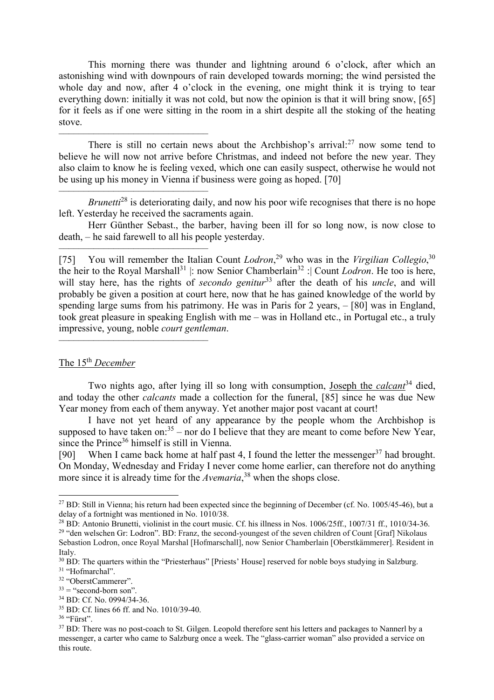This morning there was thunder and lightning around 6 o'clock, after which an astonishing wind with downpours of rain developed towards morning; the wind persisted the whole day and now, after 4 o'clock in the evening, one might think it is trying to tear everything down: initially it was not cold, but now the opinion is that it will bring snow, [65] for it feels as if one were sitting in the room in a shirt despite all the stoking of the heating stove.

There is still no certain news about the Archbishop's arrival: $27$  now some tend to believe he will now not arrive before Christmas, and indeed not before the new year. They also claim to know he is feeling vexed, which one can easily suspect, otherwise he would not be using up his money in Vienna if business were going as hoped. [70]

*Brunetti*<sup>28</sup> is deteriorating daily, and now his poor wife recognises that there is no hope left. Yesterday he received the sacraments again.

Herr Günther Sebast., the barber, having been ill for so long now, is now close to death, – he said farewell to all his people yesterday.

[75] You will remember the Italian Count *Lodron*, <sup>29</sup> who was in the *Virgilian Collegio*, 30 the heir to the Royal Marshall<sup>31</sup> |: now Senior Chamberlain<sup>32</sup> : Count *Lodron*. He too is here, will stay here, has the rights of *secondo genitur*<sup>33</sup> after the death of his *uncle*, and will probably be given a position at court here, now that he has gained knowledge of the world by spending large sums from his patrimony. He was in Paris for 2 years, – [80] was in England, took great pleasure in speaking English with me – was in Holland etc., in Portugal etc., a truly impressive, young, noble *court gentleman*.

The 15th *December*

––––––––––––––––––––––––––––––

––––––––––––––––––––––––––––––

––––––––––––––––––––––––––––––

––––––––––––––––––––––––––––––

Two nights ago, after lying ill so long with consumption, Joseph the *calcant*<sup>34</sup> died, and today the other *calcants* made a collection for the funeral, [85] since he was due New Year money from each of them anyway. Yet another major post vacant at court!

I have not yet heard of any appearance by the people whom the Archbishop is supposed to have taken on: $35$  – nor do I believe that they are meant to come before New Year, since the Prince<sup>36</sup> himself is still in Vienna.

[90] When I came back home at half past 4, I found the letter the messenger  $37$  had brought. On Monday, Wednesday and Friday I never come home earlier, can therefore not do anything more since it is already time for the *Avemaria*, <sup>38</sup> when the shops close.

 $36$  "Fürst".

l

<sup>&</sup>lt;sup>27</sup> BD: Still in Vienna; his return had been expected since the beginning of December (cf. No. 1005/45-46), but a delay of a fortnight was mentioned in No. 1010/38.

 $^{28}$  BD: Antonio Brunetti, violinist in the court music. Cf. his illness in Nos. 1006/25ff., 1007/31 ff., 1010/34-36.

<sup>&</sup>lt;sup>29</sup> "den welschen Gr: Lodron". BD: Franz, the second-youngest of the seven children of Count [Graf] Nikolaus Sebastion Lodron, once Royal Marshal [Hofmarschall], now Senior Chamberlain [Oberstkämmerer]. Resident in

Italy.

<sup>&</sup>lt;sup>30</sup> BD: The quarters within the "Priesterhaus" [Priests' House] reserved for noble boys studying in Salzburg. <sup>31</sup> "Hofmarchal".

<sup>32</sup> "OberstCammerer".

 $33 =$  "second-born son".

<sup>34</sup> BD: Cf. No. 0994/34-36.

<sup>35</sup> BD: Cf. lines 66 ff. and No. 1010/39-40.

<sup>&</sup>lt;sup>37</sup> BD: There was no post-coach to St. Gilgen. Leopold therefore sent his letters and packages to Nannerl by a messenger, a carter who came to Salzburg once a week. The "glass-carrier woman" also provided a service on this route.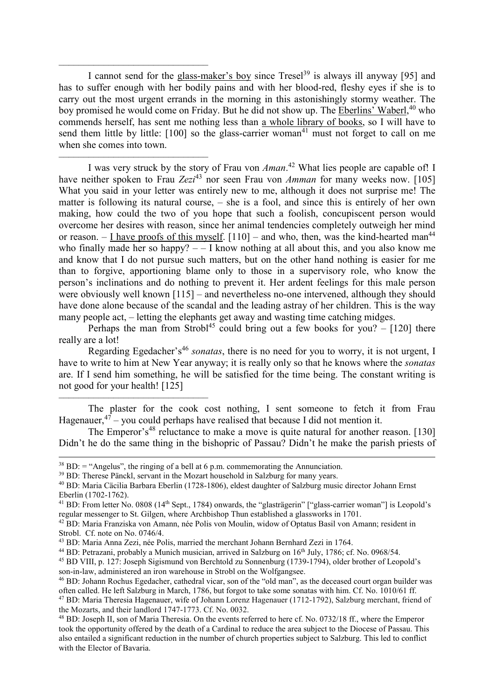I cannot send for the glass-maker's boy since Tresel<sup>39</sup> is always ill anyway [95] and has to suffer enough with her bodily pains and with her blood-red, fleshy eyes if she is to carry out the most urgent errands in the morning in this astonishingly stormy weather. The boy promised he would come on Friday. But he did not show up. The Eberlins' Waberl,<sup>40</sup> who commends herself, has sent me nothing less than a whole library of books, so I will have to send them little by little:  $[100]$  so the glass-carrier woman<sup>41</sup> must not forget to call on me when she comes into town.

––––––––––––––––––––––––––––––

––––––––––––––––––––––––––––––

––––––––––––––––––––––––––––––

 $\overline{a}$ 

I was very struck by the story of Frau von *Aman*. <sup>42</sup> What lies people are capable of! I have neither spoken to Frau *Zezi*<sup>43</sup> nor seen Frau von *Amman* for many weeks now. [105] What you said in your letter was entirely new to me, although it does not surprise me! The matter is following its natural course, – she is a fool, and since this is entirely of her own making, how could the two of you hope that such a foolish, concupiscent person would overcome her desires with reason, since her animal tendencies completely outweigh her mind or reason.  $-$  I have proofs of this myself.  $[110]$  – and who, then, was the kind-hearted man<sup>44</sup> who finally made her so happy?  $-$  I know nothing at all about this, and you also know me and know that I do not pursue such matters, but on the other hand nothing is easier for me than to forgive, apportioning blame only to those in a supervisory role, who know the person's inclinations and do nothing to prevent it. Her ardent feelings for this male person were obviously well known [115] – and nevertheless no-one intervened, although they should have done alone because of the scandal and the leading astray of her children. This is the way many people act, – letting the elephants get away and wasting time catching midges.

Perhaps the man from Strobl<sup>45</sup> could bring out a few books for you?  $-$  [120] there really are a lot!

Regarding Egedacher's<sup>46</sup> *sonatas*, there is no need for you to worry, it is not urgent, I have to write to him at New Year anyway; it is really only so that he knows where the *sonatas* are. If I send him something, he will be satisfied for the time being. The constant writing is not good for your health! [125]

The plaster for the cook cost nothing, I sent someone to fetch it from Frau Hagenauer,  $47$  – you could perhaps have realised that because I did not mention it.

The Emperor's<sup>48</sup> reluctance to make a move is quite natural for another reason. [130] Didn't he do the same thing in the bishopric of Passau? Didn't he make the parish priests of

 $38$  BD:  $=$  "Angelus", the ringing of a bell at 6 p.m. commemorating the Annunciation.

<sup>&</sup>lt;sup>39</sup> BD: Therese Pänckl, servant in the Mozart household in Salzburg for many years.

<sup>40</sup> BD: Maria Cäcilia Barbara Eberlin (1728-1806), eldest daughter of Salzburg music director Johann Ernst Eberlin (1702-1762).

<sup>&</sup>lt;sup>41</sup> BD: From letter No. 0808 (14<sup>th</sup> Sept., 1784) onwards, the "glasträgerin" ["glass-carrier woman"] is Leopold's regular messenger to St. Gilgen, where Archbishop Thun established a glassworks in 1701.

<sup>42</sup> BD: Maria Franziska von Amann, née Polis von Moulin, widow of Optatus Basil von Amann; resident in Strobl. Cf. note on No. 0746/4.

<sup>43</sup> BD: Maria Anna Zezi, née Polis, married the merchant Johann Bernhard Zezi in 1764.

<sup>&</sup>lt;sup>44</sup> BD: Petrazani, probably a Munich musician, arrived in Salzburg on 16<sup>th</sup> July, 1786; cf. No. 0968/54.

<sup>45</sup> BD VIII, p. 127: Joseph Sigismund von Berchtold zu Sonnenburg (1739-1794), older brother of Leopold's son-in-law, administered an iron warehouse in Strobl on the Wolfgangsee.

<sup>46</sup> BD: Johann Rochus Egedacher, cathedral vicar, son of the "old man", as the deceased court organ builder was often called. He left Salzburg in March, 1786, but forgot to take some sonatas with him. Cf. No. 1010/61 ff. <sup>47</sup> BD: Maria Theresia Hagenauer, wife of Johann Lorenz Hagenauer (1712-1792), Salzburg merchant, friend of the Mozarts, and their landlord 1747-1773. Cf. No. 0032.

<sup>48</sup> BD: Joseph II, son of Maria Theresia. On the events referred to here cf. No. 0732/18 ff., where the Emperor took the opportunity offered by the death of a Cardinal to reduce the area subject to the Diocese of Passau. This also entailed a significant reduction in the number of church properties subject to Salzburg. This led to conflict with the Elector of Bavaria.